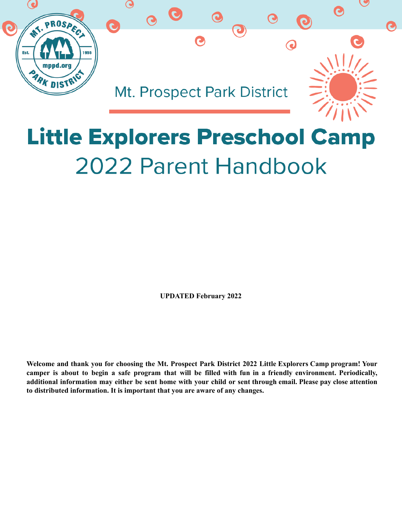

# **Little Explorers Preschool Camp** 2022 Parent Handbook

**UPDATED February 2022**

Welcome and thank you for choosing the Mt. Prospect Park District 2022 Little Explorers Camp program! Your camper is about to begin a safe program that will be filled with fun in a friendly environment. Periodically, additional information may either be sent home with your child or sent through email. Please pay close attention **to distributed information. It is important that you are aware of any changes.**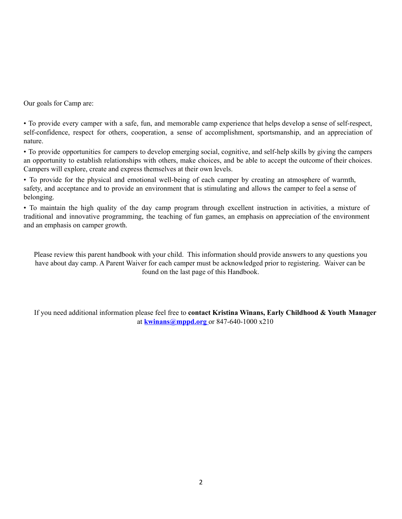Our goals for Camp are:

• To provide every camper with a safe, fun, and memorable camp experience that helps develop a sense of self-respect, self-confidence, respect for others, cooperation, a sense of accomplishment, sportsmanship, and an appreciation of nature.

• To provide opportunities for campers to develop emerging social, cognitive, and self-help skills by giving the campers an opportunity to establish relationships with others, make choices, and be able to accept the outcome of their choices. Campers will explore, create and express themselves at their own levels.

• To provide for the physical and emotional well-being of each camper by creating an atmosphere of warmth, safety, and acceptance and to provide an environment that is stimulating and allows the camper to feel a sense of belonging.

• To maintain the high quality of the day camp program through excellent instruction in activities, a mixture of traditional and innovative programming, the teaching of fun games, an emphasis on appreciation of the environment and an emphasis on camper growth.

Please review this parent handbook with your child. This information should provide answers to any questions you have about day camp. A Parent Waiver for each camper must be acknowledged prior to registering. Waiver can be found on the last page of this Handbook.

If you need additional information please feel free to **contact Kristina Winans, Early Childhood & Youth Manager** at **[kwinans@mppd.org](mailto:kwinans@mppd.org)** or 847-640-1000 x210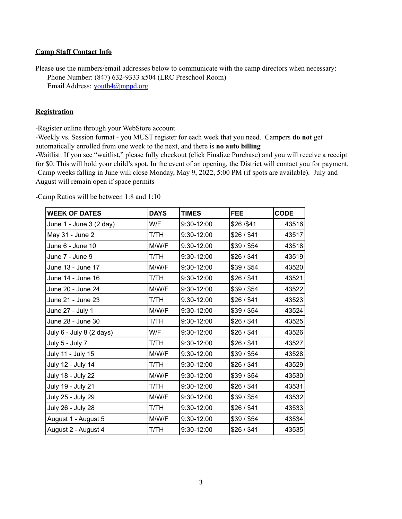#### **Camp Staff Contact Info**

Please use the numbers/email addresses below to communicate with the camp directors when necessary: Phone Number: (847) 632-9333 x504 (LRC Preschool Room) Email Address: [youth4@mppd.org](mailto:youth4@mppd.org)

# **Registration**

-Register online through your WebStore account

-Weekly vs. Session format - you MUST register for each week that you need. Campers **do not** get automatically enrolled from one week to the next, and there is **no auto billing**

-Waitlist: If you see "waitlist," please fully checkout (click Finalize Purchase) and you will receive a receipt for \$0. This will hold your child's spot. In the event of an opening, the District will contact you for payment. -Camp weeks falling in June will close Monday, May 9, 2022, 5:00 PM (if spots are available). July and August will remain open if space permits

**WEEK OF DATES DAYS TIMES FEE CODE** June 1 - June 3 (2 day) W/F 9:30-12:00 \$26 /\$41 43516 May 31 - June 2 T/TH 9:30-12:00 \$26 / \$41 43517 June 6 - June 10 **MW/F** 9:30-12:00 **\$39 / \$54** 43518 June 7 - June 9 T/TH 9:30-12:00 \$26 / \$41 43519 June 13 - June 17 M/W/F 9:30-12:00 \$39 / \$54 43520 June 14 - June 16 T/TH 9:30-12:00 \$26 / \$41 43521 June 20 - June 24 M/W/F 9:30-12:00 \$39 / \$54 43522 June 21 - June 23 T/TH 9:30-12:00 \$26 / \$41 43523 June 27 - July 1 M/W/F 9:30-12:00 \$39 / \$54 43524 June 28 - June 30 T/TH 9:30-12:00 \$26 / \$41 43525 July 6 - July 8 (2 days) W/F 9:30-12:00 \$26 / \$41 43526 July 5 - July 7 T/TH 9:30-12:00 \$26 / \$41 43527 July 11 - July 15 M/W/F 9:30-12:00 \$39 / \$54 43528 July 12 - July 14 T/TH 9:30-12:00 \$26 / \$41 43529 July 18 - July 22 M/W/F 9:30-12:00 \$39 / \$54 43530 July 19 - July 21 T/TH 9:30-12:00 \$26 / \$41 43531 July 25 - July 29 M/W/F 9:30-12:00 \$39 / \$54 43532 July 26 - July 28 T/TH 9:30-12:00 \$26 / \$41 43533 August 1 - August 5 M/W/F | 9:30-12:00 | \$39 / \$54 | 43534 August 2 - August 4 T/TH 9:30-12:00 \$26 / \$41 43535

-Camp Ratios will be between 1:8 and 1:10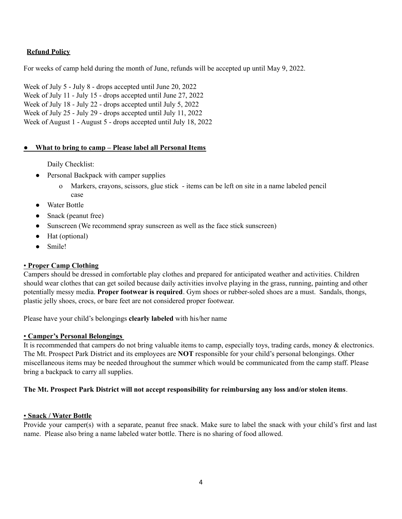# **Refund Policy**

For weeks of camp held during the month of June, refunds will be accepted up until May 9, 2022.

Week of July 5 - July 8 - drops accepted until June 20, 2022 Week of July 11 - July 15 - drops accepted until June 27, 2022 Week of July 18 - July 22 - drops accepted until July 5, 2022 Week of July 25 - July 29 - drops accepted until July 11, 2022 Week of August 1 - August 5 - drops accepted until July 18, 2022

# **● What to bring to camp – Please label all Personal Items**

Daily Checklist:

- Personal Backpack with camper supplies
	- o Markers, crayons, scissors, glue stick items can be left on site in a name labeled pencil case
- Water Bottle
- Snack (peanut free)
- Sunscreen (We recommend spray sunscreen as well as the face stick sunscreen)
- Hat (optional)
- Smile!

# • **Proper Camp Clothing**

Campers should be dressed in comfortable play clothes and prepared for anticipated weather and activities. Children should wear clothes that can get soiled because daily activities involve playing in the grass, running, painting and other potentially messy media. **Proper footwear is required**. Gym shoes or rubber-soled shoes are a must. Sandals, thongs, plastic jelly shoes, crocs, or bare feet are not considered proper footwear.

Please have your child's belongings **clearly labeled** with his/her name

#### • **Camper's Personal Belongings**

It is recommended that campers do not bring valuable items to camp, especially toys, trading cards, money & electronics. The Mt. Prospect Park District and its employees are **NOT** responsible for your child's personal belongings. Other miscellaneous items may be needed throughout the summer which would be communicated from the camp staff. Please bring a backpack to carry all supplies.

#### **The Mt. Prospect Park District will not accept responsibility for reimbursing any loss and/or stolen items**.

#### • **Snack / Water Bottle**

Provide your camper(s) with a separate, peanut free snack. Make sure to label the snack with your child's first and last name. Please also bring a name labeled water bottle. There is no sharing of food allowed.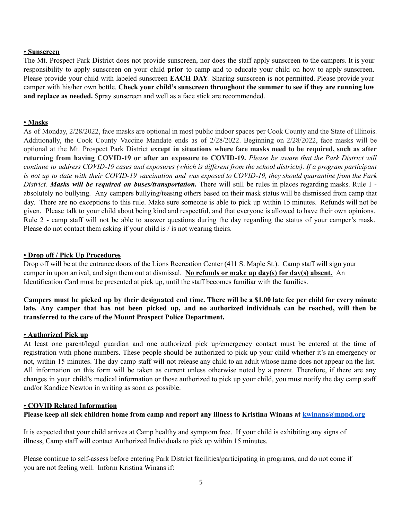#### • **Sunscreen**

The Mt. Prospect Park District does not provide sunscreen, nor does the staff apply sunscreen to the campers. It is your responsibility to apply sunscreen on your child **prior** to camp and to educate your child on how to apply sunscreen. Please provide your child with labeled sunscreen **EACH DAY**. Sharing sunscreen is not permitted. Please provide your camper with his/her own bottle. **Check your child's sunscreen throughout the summer to see if they are running low and replace as needed.** Spray sunscreen and well as a face stick are recommended.

#### • **Masks**

As of Monday, 2/28/2022, face masks are optional in most public indoor spaces per Cook County and the State of Illinois. Additionally, the Cook County Vaccine Mandate ends as of 2/28/2022. Beginning on 2/28/2022, face masks will be optional at the Mt. Prospect Park District **except in situations where face masks need to be required, such as after** returning from having COVID-19 or after an exposure to COVID-19. Please be aware that the Park District will continue to address COVID-19 cases and exposures (which is different from the school districts). If a program participant is not up to date with their COVID-19 vaccination and was exposed to COVID-19, they should quarantine from the Park *District. Masks will be required on buses/transportation.* There will still be rules in places regarding masks. Rule 1 absolutely no bullying. Any campers bullying/teasing others based on their mask status will be dismissed from camp that day. There are no exceptions to this rule. Make sure someone is able to pick up within 15 minutes. Refunds will not be given. Please talk to your child about being kind and respectful, and that everyone is allowed to have their own opinions. Rule 2 - camp staff will not be able to answer questions during the day regarding the status of your camper's mask. Please do not contact them asking if your child is / is not wearing theirs.

#### • **Drop off / Pick Up Procedures**

Drop off will be at the entrance doors of the Lions Recreation Center (411 S. Maple St.). Camp staff will sign your camper in upon arrival, and sign them out at dismissal. **No refunds or make up day(s) for day(s) absent.** An Identification Card must be presented at pick up, until the staff becomes familiar with the families.

Campers must be picked up by their designated end time. There will be a \$1.00 late fee per child for every minute late. Any camper that has not been picked up, and no authorized individuals can be reached, will then be **transferred to the care of the Mount Prospect Police Department.**

#### • **Authorized Pick up**

At least one parent/legal guardian and one authorized pick up/emergency contact must be entered at the time of registration with phone numbers. These people should be authorized to pick up your child whether it's an emergency or not, within 15 minutes. The day camp staff will not release any child to an adult whose name does not appear on the list. All information on this form will be taken as current unless otherwise noted by a parent. Therefore, if there are any changes in your child's medical information or those authorized to pick up your child, you must notify the day camp staff and/or Kandice Newton in writing as soon as possible.

#### • **COVID Related Information**

Please keep all sick children home from camp and report any illness to Kristina Winans at [kwinans@mppd.org](mailto:kwinans@mppd.org)

It is expected that your child arrives at Camp healthy and symptom free. If your child is exhibiting any signs of illness, Camp staff will contact Authorized Individuals to pick up within 15 minutes.

Please continue to self-assess before entering Park District facilities/participating in programs, and do not come if you are not feeling well. Inform Kristina Winans if: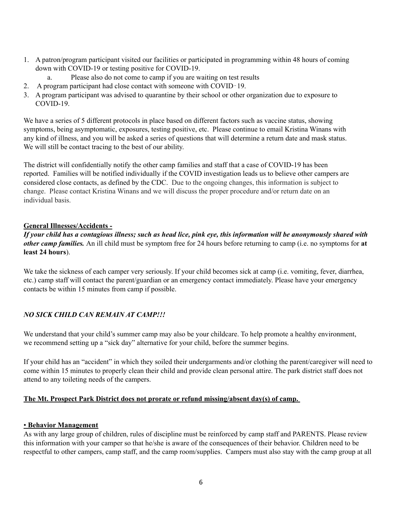- 1. A patron/program participant visited our facilities or participated in programming within 48 hours of coming down with COVID-19 or testing positive for COVID-19.
	- a. Please also do not come to camp if you are waiting on test results
- 2. A program participant had close contact with someone with COVID‐19.
- 3. A program participant was advised to quarantine by their school or other organization due to exposure to COVID-19.

We have a series of 5 different protocols in place based on different factors such as vaccine status, showing symptoms, being asymptomatic, exposures, testing positive, etc. Please continue to email Kristina Winans with any kind of illness, and you will be asked a series of questions that will determine a return date and mask status. We will still be contact tracing to the best of our ability.

The district will confidentially notify the other camp families and staff that a case of COVID-19 has been reported. Families will be notified individually if the COVID investigation leads us to believe other campers are considered close contacts, as defined by the CDC. Due to the ongoing changes, this information is subject to change. Please contact Kristina Winans and we will discuss the proper procedure and/or return date on an individual basis.

# **General Illnesses/Accidents -**

If your child has a contagious illness; such as head lice, pink eye, this information will be anonymously shared with *other camp families.* An ill child must be symptom free for 24 hours before returning to camp (i.e. no symptoms for **at least 24 hours**).

We take the sickness of each camper very seriously. If your child becomes sick at camp (i.e. vomiting, fever, diarrhea, etc.) camp staff will contact the parent/guardian or an emergency contact immediately. Please have your emergency contacts be within 15 minutes from camp if possible.

# *NO SICK CHILD CAN REMAIN AT CAMP!!!*

We understand that your child's summer camp may also be your childcare. To help promote a healthy environment, we recommend setting up a "sick day" alternative for your child, before the summer begins.

If your child has an "accident" in which they soiled their undergarments and/or clothing the parent/caregiver will need to come within 15 minutes to properly clean their child and provide clean personal attire. The park district staff does not attend to any toileting needs of the campers.

# **The Mt. Prospect Park District does not prorate or refund missing/absent day(s) of camp.**

# • **Behavior Management**

As with any large group of children, rules of discipline must be reinforced by camp staff and PARENTS. Please review this information with your camper so that he/she is aware of the consequences of their behavior. Children need to be respectful to other campers, camp staff, and the camp room/supplies. Campers must also stay with the camp group at all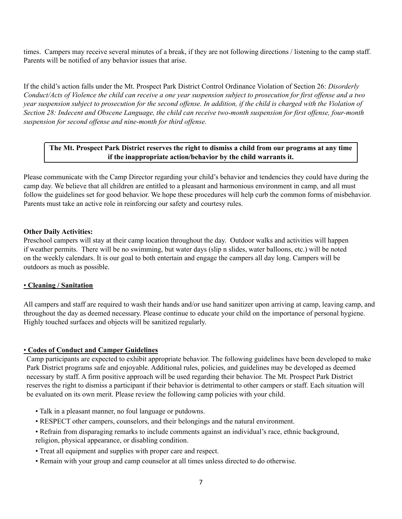times. Campers may receive several minutes of a break, if they are not following directions / listening to the camp staff. Parents will be notified of any behavior issues that arise.

If the child's action falls under the Mt. Prospect Park District Control Ordinance Violation of Section 26: *Disorderly* Conduct/Acts of Violence the child can receive a one year suspension subject to prosecution for first offense and a two year suspension subject to prosecution for the second offense. In addition, if the child is charged with the Violation of Section 28: Indecent and Obscene Language, the child can receive two-month suspension for first offense, four-month *suspension for second of ense and nine-month for third of ense.*

# **The Mt. Prospect Park District reserves the right to dismiss a child from our programs at any time if the inappropriate action/behavior by the child warrants it.**

Please communicate with the Camp Director regarding your child's behavior and tendencies they could have during the camp day. We believe that all children are entitled to a pleasant and harmonious environment in camp, and all must follow the guidelines set for good behavior. We hope these procedures will help curb the common forms of misbehavior. Parents must take an active role in reinforcing our safety and courtesy rules.

# **Other Daily Activities:**

Preschool campers will stay at their camp location throughout the day. Outdoor walks and activities will happen if weather permits. There will be no swimming, but water days (slip n slides, water balloons, etc.) will be noted on the weekly calendars. It is our goal to both entertain and engage the campers all day long. Campers will be outdoors as much as possible.

# • **Cleaning / Sanitation**

All campers and staff are required to wash their hands and/or use hand sanitizer upon arriving at camp, leaving camp, and throughout the day as deemed necessary. Please continue to educate your child on the importance of personal hygiene. Highly touched surfaces and objects will be sanitized regularly.

# • **Codes of Conduct and Camper Guidelines**

Camp participants are expected to exhibit appropriate behavior. The following guidelines have been developed to make Park District programs safe and enjoyable. Additional rules, policies, and guidelines may be developed as deemed necessary by staff. A firm positive approach will be used regarding their behavior. The Mt. Prospect Park District reserves the right to dismiss a participant if their behavior is detrimental to other campers or staff. Each situation will be evaluated on its own merit. Please review the following camp policies with your child.

- Talk in a pleasant manner, no foul language or putdowns.
- RESPECT other campers, counselors, and their belongings and the natural environment.
- Refrain from disparaging remarks to include comments against an individual's race, ethnic background, religion, physical appearance, or disabling condition.
- Treat all equipment and supplies with proper care and respect.
- Remain with your group and camp counselor at all times unless directed to do otherwise.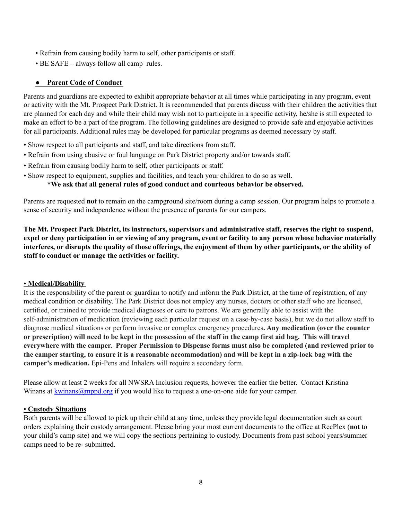- Refrain from causing bodily harm to self, other participants or staff.
- BE SAFE always follow all camp rules.

# ● **Parent Code of Conduct**

Parents and guardians are expected to exhibit appropriate behavior at all times while participating in any program, event or activity with the Mt. Prospect Park District. It is recommended that parents discuss with their children the activities that are planned for each day and while their child may wish not to participate in a specific activity, he/she is still expected to make an effort to be a part of the program. The following guidelines are designed to provide safe and enjoyable activities for all participants. Additional rules may be developed for particular programs as deemed necessary by staff.

- Show respect to all participants and staff, and take directions from staff.
- Refrain from using abusive or foul language on Park District property and/or towards staff.
- Refrain from causing bodily harm to self, other participants or staff.
- Show respect to equipment, supplies and facilities, and teach your children to do so as well.

#### **\*We ask that all general rules of good conduct and courteous behavior be observed.**

Parents are requested **not** to remain on the campground site/room during a camp session. Our program helps to promote a sense of security and independence without the presence of parents for our campers.

The Mt. Prospect Park District, its instructors, supervisors and administrative staff, reserves the right to suspend, expel or deny participation in or viewing of any program, event or facility to any person whose behavior materially interferes, or disrupts the quality of those offerings, the enjoyment of them by other participants, or the ability of **staff to conduct or manage the activities or facility.**

#### • **Medical/Disability**

It is the responsibility of the parent or guardian to notify and inform the Park District, at the time of registration, of any medical condition or disability. The Park District does not employ any nurses, doctors or other staff who are licensed, certified, or trained to provide medical diagnoses or care to patrons. We are generally able to assist with the self-administration of medication (reviewing each particular request on a case-by-case basis), but we do not allow staff to diagnose medical situations or perform invasive or complex emergency procedures**. Any medication (over the counter** or prescription) will need to be kept in the possession of the staff in the camp first aid bag. This will travel everywhere with the camper. Proper Permission to Dispense forms must also be completed (and reviewed prior to the camper starting, to ensure it is a reasonable accommodation) and will be kept in a zip-lock bag with the **camper's medication.** Epi-Pens and Inhalers will require a secondary form.

Please allow at least 2 weeks for all NWSRA Inclusion requests, however the earlier the better. Contact Kristina Winans at [kwinans@mppd.org](mailto:kwinans@mppd.org) if you would like to request a one-on-one aide for your camper.

#### • **Custody Situations**

Both parents will be allowed to pick up their child at any time, unless they provide legal documentation such as court orders explaining their custody arrangement. Please bring your most current documents to the office at RecPlex (**not** to your child's camp site) and we will copy the sections pertaining to custody. Documents from past school years/summer camps need to be re- submitted.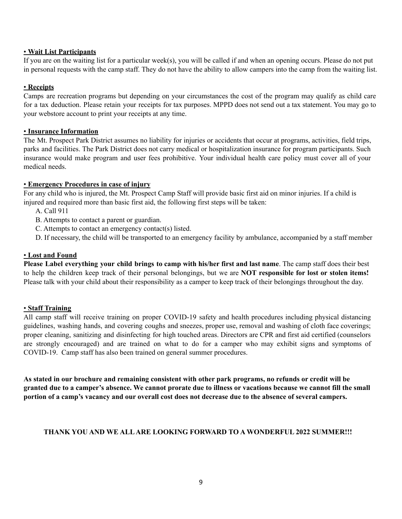#### • **Wait List Participants**

If you are on the waiting list for a particular week(s), you will be called if and when an opening occurs. Please do not put in personal requests with the camp staff. They do not have the ability to allow campers into the camp from the waiting list.

# • **Receipts**

Camps are recreation programs but depending on your circumstances the cost of the program may qualify as child care for a tax deduction. Please retain your receipts for tax purposes. MPPD does not send out a tax statement. You may go to your webstore account to print your receipts at any time.

# • **Insurance Information**

The Mt. Prospect Park District assumes no liability for injuries or accidents that occur at programs, activities, field trips, parks and facilities. The Park District does not carry medical or hospitalization insurance for program participants. Such insurance would make program and user fees prohibitive. Your individual health care policy must cover all of your medical needs.

# • **Emergency Procedures in case of injury**

For any child who is injured, the Mt. Prospect Camp Staff will provide basic first aid on minor injuries. If a child is injured and required more than basic first aid, the following first steps will be taken:

- A. Call 911
- B. Attempts to contact a parent or guardian.
- C. Attempts to contact an emergency contact(s) listed.
- D. If necessary, the child will be transported to an emergency facility by ambulance, accompanied by a staff member

# • **Lost and Found**

**Please Label everything your child brings to camp with his/her first and last name**. The camp staff does their best to help the children keep track of their personal belongings, but we are **NOT responsible for lost or stolen items!** Please talk with your child about their responsibility as a camper to keep track of their belongings throughout the day.

#### • **Staff Training**

All camp staff will receive training on proper COVID-19 safety and health procedures including physical distancing guidelines, washing hands, and covering coughs and sneezes, proper use, removal and washing of cloth face coverings; proper cleaning, sanitizing and disinfecting for high touched areas. Directors are CPR and first aid certified (counselors are strongly encouraged) and are trained on what to do for a camper who may exhibit signs and symptoms of COVID-19. Camp staff has also been trained on general summer procedures.

As stated in our brochure and remaining consistent with other park programs, no refunds or credit will be granted due to a camper's absence. We cannot prorate due to illness or vacations because we cannot fill the small portion of a camp's vacancy and our overall cost does not decrease due to the absence of several campers.

# **THANK YOU AND WE ALLARE LOOKING FORWARD TO A WONDERFUL 2022 SUMMER!!!**